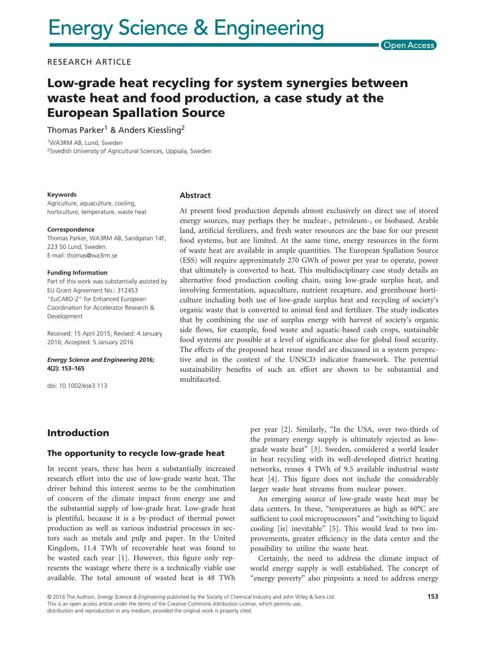# Low-grade heat recycling for system synergies between waste heat and food production, a case study at the European Spallation Source

Thomas Parker<sup>1</sup> & Anders Kiessling<sup>2</sup>

1WA3RM AB, Lund, Sweden 2Swedish University of Agricultural Sciences, Uppsala, Sweden

#### **Keywords**

Agriculture, aquaculture, cooling, horticulture, temperature, waste heat

**Correspondence** Thomas Parker, WA3RM AB, Sandgatan 14F, 223 50 Lund, Sweden. E-mail: [thomas@wa3rm.se](mailto:thomas@wa3rm.se)

#### **Funding Information**

Part of this work was substantially assisted by EU Grant Agreement No.: 312453 "EuCARD-2" for Enhanced European Coordination for Accelerator Research & Development

Received: 15 April 2015; Revised: 4 January 2016; Accepted: 5 January 2016

#### *Energy Science and Engineering* **2016; 4(2): 153–165**

doi: 10.1002/ese3.113

#### **Abstract**

At present food production depends almost exclusively on direct use of stored energy sources, may perhaps they be nuclear-, petroleum-, or biobased. Arable land, artificial fertilizers, and fresh water resources are the base for our present food systems, but are limited. At the same time, energy resources in the form of waste heat are available in ample quantities. The European Spallation Source (ESS) will require approximately 270 GWh of power per year to operate, power that ultimately is converted to heat. This multidisciplinary case study details an alternative food production cooling chain, using low-grade surplus heat, and involving fermentation, aquaculture, nutrient recapture, and greenhouse horticulture including both use of low-grade surplus heat and recycling of society's organic waste that is converted to animal feed and fertilizer. The study indicates that by combining the use of surplus energy with harvest of society's organic side flows, for example, food waste and aquatic-based cash crops, sustainable food systems are possible at a level of significance also for global food security. The effects of the proposed heat reuse model are discussed in a system perspective and in the context of the UNSCD indicator framework. The potential sustainability benefits of such an effort are shown to be substantial and multifaceted.

# Introduction

# The opportunity to recycle low-grade heat

In recent years, there has been a substantially increased research effort into the use of low-grade waste heat. The driver behind this interest seems to be the combination of concern of the climate impact from energy use and the substantial supply of low-grade heat. Low-grade heat is plentiful, because it is a by-product of thermal power production as well as various industrial processes in sectors such as metals and pulp and paper. In the United Kingdom, 11.4 TWh of recoverable heat was found to be wasted each year [1]. However, this figure only represents the wastage where there is a technically viable use available. The total amount of wasted heat is 48 TWh per year [2]. Similarly, "In the USA, over two-thirds of the primary energy supply is ultimately rejected as lowgrade waste heat" [3]. Sweden, considered a world leader in heat recycling with its well-developed district heating networks, reuses 4 TWh of 9.5 available industrial waste heat [4]. This figure does not include the considerably larger waste heat streams from nuclear power.

An emerging source of low-grade waste heat may be data centers. In these, "temperatures as high as 60°C are sufficient to cool microprocessors" and "switching to liquid cooling [is] inevitable" [5]. This would lead to two improvements, greater efficiency in the data center and the possibility to utilize the waste heat.

Certainly, the need to address the climate impact of world energy supply is well established. The concept of "energy poverty" also pinpoints a need to address energy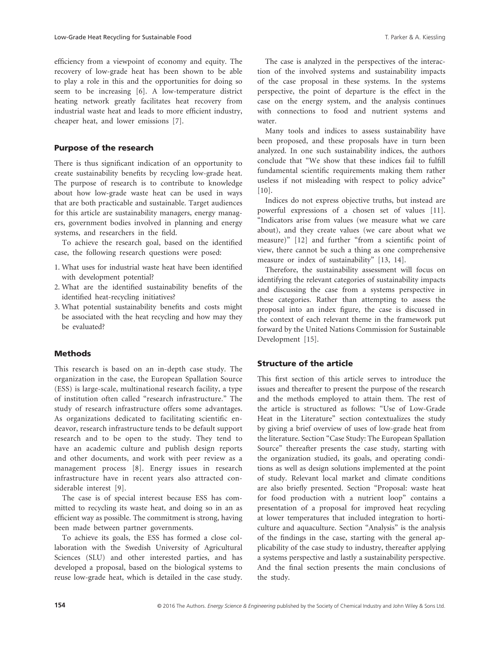efficiency from a viewpoint of economy and equity. The recovery of low-grade heat has been shown to be able to play a role in this and the opportunities for doing so

seem to be increasing [6]. A low-temperature district heating network greatly facilitates heat recovery from industrial waste heat and leads to more efficient industry, cheaper heat, and lower emissions [7].

## Purpose of the research

There is thus significant indication of an opportunity to create sustainability benefits by recycling low-grade heat. The purpose of research is to contribute to knowledge about how low-grade waste heat can be used in ways that are both practicable and sustainable. Target audiences for this article are sustainability managers, energy managers, government bodies involved in planning and energy systems, and researchers in the field.

To achieve the research goal, based on the identified case, the following research questions were posed:

- 1. What uses for industrial waste heat have been identified with development potential?
- 2. What are the identified sustainability benefits of the identified heat-recycling initiatives?
- 3. What potential sustainability benefits and costs might be associated with the heat recycling and how may they be evaluated?

### Methods

This research is based on an in-depth case study. The organization in the case, the European Spallation Source (ESS) is large-scale, multinational research facility, a type of institution often called "research infrastructure." The study of research infrastructure offers some advantages. As organizations dedicated to facilitating scientific endeavor, research infrastructure tends to be default support research and to be open to the study. They tend to have an academic culture and publish design reports and other documents, and work with peer review as a management process [8]. Energy issues in research infrastructure have in recent years also attracted considerable interest [9].

The case is of special interest because ESS has committed to recycling its waste heat, and doing so in an as efficient way as possible. The commitment is strong, having been made between partner governments.

To achieve its goals, the ESS has formed a close collaboration with the Swedish University of Agricultural Sciences (SLU) and other interested parties, and has developed a proposal, based on the biological systems to reuse low-grade heat, which is detailed in the case study.

The case is analyzed in the perspectives of the interaction of the involved systems and sustainability impacts of the case proposal in these systems. In the systems perspective, the point of departure is the effect in the case on the energy system, and the analysis continues with connections to food and nutrient systems and

Many tools and indices to assess sustainability have been proposed, and these proposals have in turn been analyzed. In one such sustainability indices, the authors conclude that "We show that these indices fail to fulfill fundamental scientific requirements making them rather useless if not misleading with respect to policy advice" [10].

Indices do not express objective truths, but instead are powerful expressions of a chosen set of values [11]. "Indicators arise from values (we measure what we care about), and they create values (we care about what we measure)" [12] and further "from a scientific point of view, there cannot be such a thing as one comprehensive measure or index of sustainability" [13, 14].

Therefore, the sustainability assessment will focus on identifying the relevant categories of sustainability impacts and discussing the case from a systems perspective in these categories. Rather than attempting to assess the proposal into an index figure, the case is discussed in the context of each relevant theme in the framework put forward by the United Nations Commission for Sustainable Development [15].

# Structure of the article

water.

This first section of this article serves to introduce the issues and thereafter to present the purpose of the research and the methods employed to attain them. The rest of the article is structured as follows: "Use of Low-Grade Heat in the Literature" section contextualizes the study by giving a brief overview of uses of low-grade heat from the literature. Section "Case Study: The European Spallation Source" thereafter presents the case study, starting with the organization studied, its goals, and operating conditions as well as design solutions implemented at the point of study. Relevant local market and climate conditions are also briefly presented. Section "Proposal: waste heat for food production with a nutrient loop" contains a presentation of a proposal for improved heat recycling at lower temperatures that included integration to horticulture and aquaculture. Section "Analysis" is the analysis of the findings in the case, starting with the general applicability of the case study to industry, thereafter applying a systems perspective and lastly a sustainability perspective. And the final section presents the main conclusions of the study.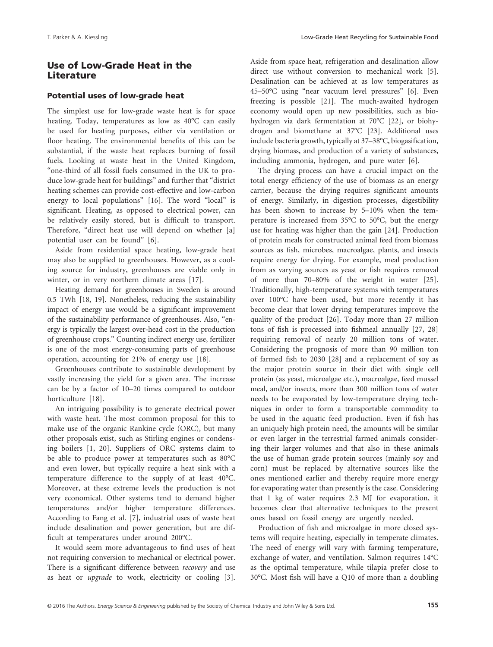# Use of Low-Grade Heat in the **Literature**

### Potential uses of low-grade heat

The simplest use for low-grade waste heat is for space heating. Today, temperatures as low as 40°C can easily be used for heating purposes, either via ventilation or floor heating. The environmental benefits of this can be substantial, if the waste heat replaces burning of fossil fuels. Looking at waste heat in the United Kingdom, "one-third of all fossil fuels consumed in the UK to produce low-grade heat for buildings" and further that "district heating schemes can provide cost-effective and low-carbon energy to local populations" [16]. The word "local" is significant. Heating, as opposed to electrical power, can be relatively easily stored, but is difficult to transport. Therefore, "direct heat use will depend on whether [a] potential user can be found" [6].

Aside from residential space heating, low-grade heat may also be supplied to greenhouses. However, as a cooling source for industry, greenhouses are viable only in winter, or in very northern climate areas [17].

Heating demand for greenhouses in Sweden is around 0.5 TWh [18, 19]. Nonetheless, reducing the sustainability impact of energy use would be a significant improvement of the sustainability performance of greenhouses. Also, "energy is typically the largest over-head cost in the production of greenhouse crops." Counting indirect energy use, fertilizer is one of the most energy-consuming parts of greenhouse operation, accounting for 21% of energy use [18].

Greenhouses contribute to sustainable development by vastly increasing the yield for a given area. The increase can be by a factor of 10–20 times compared to outdoor horticulture [18].

An intriguing possibility is to generate electrical power with waste heat. The most common proposal for this to make use of the organic Rankine cycle (ORC), but many other proposals exist, such as Stirling engines or condensing boilers [1, 20]. Suppliers of ORC systems claim to be able to produce power at temperatures such as 80°C and even lower, but typically require a heat sink with a temperature difference to the supply of at least 40°C. Moreover, at these extreme levels the production is not very economical. Other systems tend to demand higher temperatures and/or higher temperature differences. According to Fang et al. [7], industrial uses of waste heat include desalination and power generation, but are difficult at temperatures under around 200°C.

It would seem more advantageous to find uses of heat not requiring conversion to mechanical or electrical power. There is a significant difference between *recovery* and use as heat or *upgrade* to work, electricity or cooling [3]. Aside from space heat, refrigeration and desalination allow direct use without conversion to mechanical work [5]. Desalination can be achieved at as low temperatures as 45–50°C using "near vacuum level pressures" [6]. Even freezing is possible [21]. The much-awaited hydrogen economy would open up new possibilities, such as biohydrogen via dark fermentation at 70°C [22], or biohydrogen and biomethane at 37°C [23]. Additional uses include bacteria growth, typically at 37–38°C, biogasification, drying biomass, and production of a variety of substances, including ammonia, hydrogen, and pure water [6].

The drying process can have a crucial impact on the total energy efficiency of the use of biomass as an energy carrier, because the drying requires significant amounts of energy. Similarly, in digestion processes, digestibility has been shown to increase by 5–10% when the temperature is increased from 35°C to 50°C, but the energy use for heating was higher than the gain [24]. Production of protein meals for constructed animal feed from biomass sources as fish, microbes, macroalgae, plants, and insects require energy for drying. For example, meal production from as varying sources as yeast or fish requires removal of more than 70–80% of the weight in water [25]. Traditionally, high-temperature systems with temperatures over 100°C have been used, but more recently it has become clear that lower drying temperatures improve the quality of the product [26]. Today more than 27 million tons of fish is processed into fishmeal annually [27, 28] requiring removal of nearly 20 million tons of water. Considering the prognosis of more than 90 million ton of farmed fish to 2030 [28] and a replacement of soy as the major protein source in their diet with single cell protein (as yeast, microalgae etc.), macroalgae, feed mussel meal, and/or insects, more than 300 million tons of water needs to be evaporated by low-temperature drying techniques in order to form a transportable commodity to be used in the aquatic feed production. Even if fish has an uniquely high protein need, the amounts will be similar or even larger in the terrestrial farmed animals considering their larger volumes and that also in these animals the use of human grade protein sources (mainly soy and corn) must be replaced by alternative sources like the ones mentioned earlier and thereby require more energy for evaporating water than presently is the case. Considering that 1 kg of water requires 2.3 MJ for evaporation, it becomes clear that alternative techniques to the present ones based on fossil energy are urgently needed.

Production of fish and microalgae in more closed systems will require heating, especially in temperate climates. The need of energy will vary with farming temperature, exchange of water, and ventilation. Salmon requires 14°C as the optimal temperature, while tilapia prefer close to 30°C. Most fish will have a Q10 of more than a doubling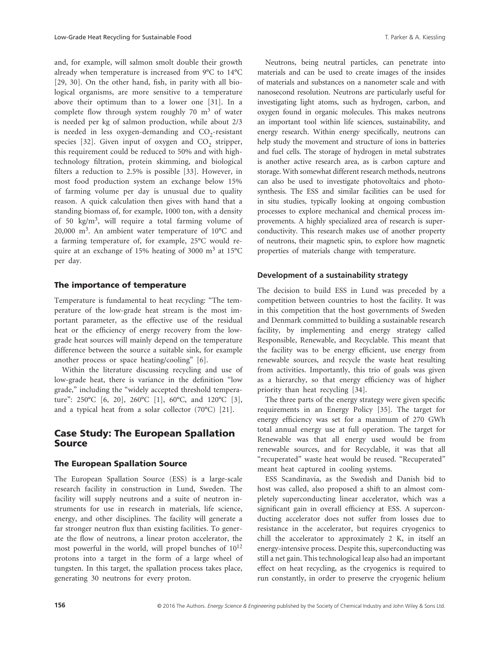and, for example, will salmon smolt double their growth already when temperature is increased from 9°C to 14°C [29, 30]. On the other hand, fish, in parity with all biological organisms, are more sensitive to a temperature above their optimum than to a lower one [31]. In a complete flow through system roughly 70  $m<sup>3</sup>$  of water is needed per kg of salmon production, while about 2/3 is needed in less oxygen-demanding and  $CO_2$ -resistant species  $[32]$ . Given input of oxygen and  $CO<sub>2</sub>$  stripper, this requirement could be reduced to 50% and with hightechnology filtration, protein skimming, and biological filters a reduction to 2.5% is possible [33]. However, in most food production system an exchange below 15% of farming volume per day is unusual due to quality reason. A quick calculation then gives with hand that a standing biomass of, for example, 1000 ton, with a density of 50 kg/m3, will require a total farming volume of 20,000 m3. An ambient water temperature of 10°C and a farming temperature of, for example, 25°C would require at an exchange of 15% heating of 3000 m3 at 15°C per day.

#### The importance of temperature

Temperature is fundamental to heat recycling: "The temperature of the low-grade heat stream is the most important parameter, as the effective use of the residual heat or the efficiency of energy recovery from the lowgrade heat sources will mainly depend on the temperature difference between the source a suitable sink, for example another process or space heating/cooling" [6].

Within the literature discussing recycling and use of low-grade heat, there is variance in the definition "low grade," including the "widely accepted threshold temperature": 250°C [6, 20], 260°C [1], 60°C, and 120°C [3], and a typical heat from a solar collector (70°C) [21].

# Case Study: The European Spallation Source

### The European Spallation Source

The European Spallation Source (ESS) is a large-scale research facility in construction in Lund, Sweden. The facility will supply neutrons and a suite of neutron instruments for use in research in materials, life science, energy, and other disciplines. The facility will generate a far stronger neutron flux than existing facilities. To generate the flow of neutrons, a linear proton accelerator, the most powerful in the world, will propel bunches of 1012 protons into a target in the form of a large wheel of tungsten. In this target, the spallation process takes place, generating 30 neutrons for every proton.

Neutrons, being neutral particles, can penetrate into materials and can be used to create images of the insides of materials and substances on a nanometer scale and with nanosecond resolution. Neutrons are particularly useful for investigating light atoms, such as hydrogen, carbon, and oxygen found in organic molecules. This makes neutrons an important tool within life sciences, sustainability, and energy research. Within energy specifically, neutrons can help study the movement and structure of ions in batteries and fuel cells. The storage of hydrogen in metal substrates is another active research area, as is carbon capture and storage. With somewhat different research methods, neutrons can also be used to investigate photovoltaics and photosynthesis. The ESS and similar facilities can be used for in situ studies, typically looking at ongoing combustion processes to explore mechanical and chemical process improvements. A highly specialized area of research is superconductivity. This research makes use of another property of neutrons, their magnetic spin, to explore how magnetic properties of materials change with temperature.

#### **Development of a sustainability strategy**

The decision to build ESS in Lund was preceded by a competition between countries to host the facility. It was in this competition that the host governments of Sweden and Denmark committed to building a sustainable research facility, by implementing and energy strategy called Responsible, Renewable, and Recyclable. This meant that the facility was to be energy efficient, use energy from renewable sources, and recycle the waste heat resulting from activities. Importantly, this trio of goals was given as a hierarchy, so that energy efficiency was of higher priority than heat recycling [34].

The three parts of the energy strategy were given specific requirements in an Energy Policy [35]. The target for energy efficiency was set for a maximum of 270 GWh total annual energy use at full operation. The target for Renewable was that all energy used would be from renewable sources, and for Recyclable, it was that all "recuperated" waste heat would be reused. "Recuperated" meant heat captured in cooling systems.

ESS Scandinavia, as the Swedish and Danish bid to host was called, also proposed a shift to an almost completely superconducting linear accelerator, which was a significant gain in overall efficiency at ESS. A superconducting accelerator does not suffer from losses due to resistance in the accelerator, but requires cryogenics to chill the accelerator to approximately 2 K, in itself an energy-intensive process. Despite this, superconducting was still a net gain. This technological leap also had an important effect on heat recycling, as the cryogenics is required to run constantly, in order to preserve the cryogenic helium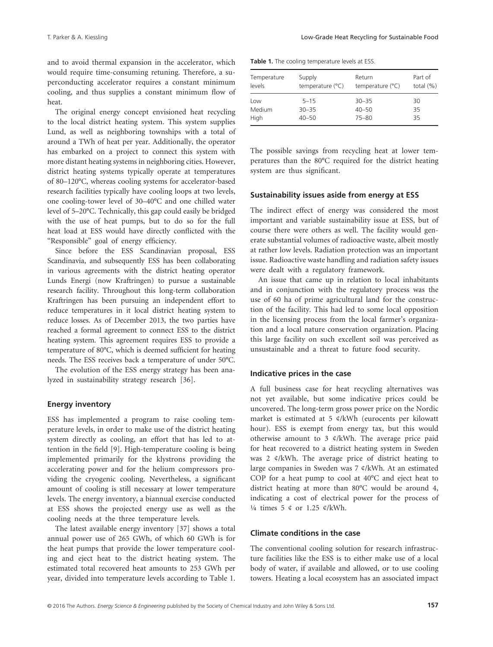and to avoid thermal expansion in the accelerator, which would require time-consuming retuning. Therefore, a superconducting accelerator requires a constant minimum cooling, and thus supplies a constant minimum flow of heat.

The original energy concept envisioned heat recycling to the local district heating system. This system supplies Lund, as well as neighboring townships with a total of around a TWh of heat per year. Additionally, the operator has embarked on a project to connect this system with more distant heating systems in neighboring cities. However, district heating systems typically operate at temperatures of 80–120°C, whereas cooling systems for accelerator-based research facilities typically have cooling loops at two levels, one cooling-tower level of 30–40°C and one chilled water level of 5–20°C. Technically, this gap could easily be bridged with the use of heat pumps, but to do so for the full heat load at ESS would have directly conflicted with the "Responsible" goal of energy efficiency.

Since before the ESS Scandinavian proposal, ESS Scandinavia, and subsequently ESS has been collaborating in various agreements with the district heating operator Lunds Energi (now Kraftringen) to pursue a sustainable research facility. Throughout this long-term collaboration Kraftringen has been pursuing an independent effort to reduce temperatures in it local district heating system to reduce losses. As of December 2013, the two parties have reached a formal agreement to connect ESS to the district heating system. This agreement requires ESS to provide a temperature of 80°C, which is deemed sufficient for heating needs. The ESS receives back a temperature of under 50°C.

The evolution of the ESS energy strategy has been analyzed in sustainability strategy research [36].

#### **Energy inventory**

ESS has implemented a program to raise cooling temperature levels, in order to make use of the district heating system directly as cooling, an effort that has led to attention in the field [9]. High-temperature cooling is being implemented primarily for the klystrons providing the accelerating power and for the helium compressors providing the cryogenic cooling. Nevertheless, a significant amount of cooling is still necessary at lower temperature levels. The energy inventory, a biannual exercise conducted at ESS shows the projected energy use as well as the cooling needs at the three temperature levels.

The latest available energy inventory [37] shows a total annual power use of 265 GWh, of which 60 GWh is for the heat pumps that provide the lower temperature cooling and eject heat to the district heating system. The estimated total recovered heat amounts to 253 GWh per year, divided into temperature levels according to Table 1.

|  |  |  |  | <b>Table 1.</b> The cooling temperature levels at ESS. |  |  |  |
|--|--|--|--|--------------------------------------------------------|--|--|--|
|--|--|--|--|--------------------------------------------------------|--|--|--|

| Temperature | Supply                    | Return                    | Part of       |
|-------------|---------------------------|---------------------------|---------------|
| levels      | temperature $(^{\circ}C)$ | temperature $(^{\circ}C)$ | total $(\% )$ |
| Low         | $5 - 15$                  | $30 - 35$                 | 30            |
| Medium      | $30 - 35$                 | $40 - 50$                 | 35            |
| High        | $40 - 50$                 | $75 - 80$                 | 35            |

The possible savings from recycling heat at lower temperatures than the 80°C required for the district heating system are thus significant.

### **Sustainability issues aside from energy at ESS**

The indirect effect of energy was considered the most important and variable sustainability issue at ESS, but of course there were others as well. The facility would generate substantial volumes of radioactive waste, albeit mostly at rather low levels. Radiation protection was an important issue. Radioactive waste handling and radiation safety issues were dealt with a regulatory framework.

An issue that came up in relation to local inhabitants and in conjunction with the regulatory process was the use of 60 ha of prime agricultural land for the construction of the facility. This had led to some local opposition in the licensing process from the local farmer's organization and a local nature conservation organization. Placing this large facility on such excellent soil was perceived as unsustainable and a threat to future food security.

### **Indicative prices in the case**

A full business case for heat recycling alternatives was not yet available, but some indicative prices could be uncovered. The long-term gross power price on the Nordic market is estimated at 5 ¢/kWh (eurocents per kilowatt hour). ESS is exempt from energy tax, but this would otherwise amount to 3 ¢/kWh. The average price paid for heat recovered to a district heating system in Sweden was 2 ¢/kWh. The average price of district heating to large companies in Sweden was 7 ¢/kWh. At an estimated COP for a heat pump to cool at 40°C and eject heat to district heating at more than 80°C would be around 4, indicating a cost of electrical power for the process of  $\frac{1}{4}$  times 5  $\text{\&}$  or 1.25  $\text{\&}$ /kWh.

#### **Climate conditions in the case**

The conventional cooling solution for research infrastructure facilities like the ESS is to either make use of a local body of water, if available and allowed, or to use cooling towers. Heating a local ecosystem has an associated impact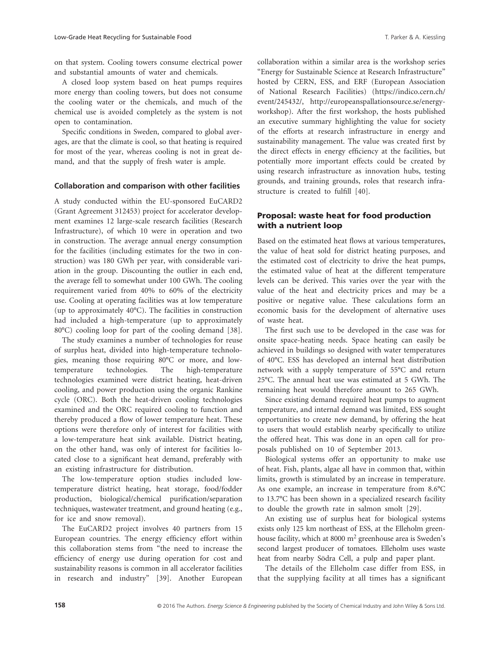on that system. Cooling towers consume electrical power and substantial amounts of water and chemicals.

A closed loop system based on heat pumps requires more energy than cooling towers, but does not consume the cooling water or the chemicals, and much of the chemical use is avoided completely as the system is not open to contamination.

Specific conditions in Sweden, compared to global averages, are that the climate is cool, so that heating is required for most of the year, whereas cooling is not in great demand, and that the supply of fresh water is ample.

#### **Collaboration and comparison with other facilities**

A study conducted within the EU-sponsored EuCARD2 (Grant Agreement 312453) project for accelerator development examines 12 large-scale research facilities (Research Infrastructure), of which 10 were in operation and two in construction. The average annual energy consumption for the facilities (including estimates for the two in construction) was 180 GWh per year, with considerable variation in the group. Discounting the outlier in each end, the average fell to somewhat under 100 GWh. The cooling requirement varied from 40% to 60% of the electricity use. Cooling at operating facilities was at low temperature (up to approximately 40°C). The facilities in construction had included a high-temperature (up to approximately 80°C) cooling loop for part of the cooling demand [38].

The study examines a number of technologies for reuse of surplus heat, divided into high-temperature technologies, meaning those requiring 80°C or more, and lowtemperature technologies. The high-temperature technologies examined were district heating, heat-driven cooling, and power production using the organic Rankine cycle (ORC). Both the heat-driven cooling technologies examined and the ORC required cooling to function and thereby produced a flow of lower temperature heat. These options were therefore only of interest for facilities with a low-temperature heat sink available. District heating, on the other hand, was only of interest for facilities located close to a significant heat demand, preferably with an existing infrastructure for distribution.

The low-temperature option studies included lowtemperature district heating, heat storage, food/fodder production, biological/chemical purification/separation techniques, wastewater treatment, and ground heating (e.g., for ice and snow removal).

The EuCARD2 project involves 40 partners from 15 European countries. The energy efficiency effort within this collaboration stems from "the need to increase the efficiency of energy use during operation for cost and sustainability reasons is common in all accelerator facilities in research and industry" [39]. Another European collaboration within a similar area is the workshop series "Energy for Sustainable Science at Research Infrastructure" hosted by CERN, ESS, and ERF (European Association of National Research Facilities) [\(https://indico.cern.ch/](https://indico.cern.ch/event/245432/) [event/245432/,](https://indico.cern.ch/event/245432/) [http://europeanspallationsource.se/energy](http://europeanspallationsource.se/energyworkshop)[workshop\)](http://europeanspallationsource.se/energyworkshop). After the first workshop, the hosts published an executive summary highlighting the value for society of the efforts at research infrastructure in energy and sustainability management. The value was created first by the direct effects in energy efficiency at the facilities, but potentially more important effects could be created by using research infrastructure as innovation hubs, testing grounds, and training grounds, roles that research infrastructure is created to fulfill [40].

### Proposal: waste heat for food production with a nutrient loop

Based on the estimated heat flows at various temperatures, the value of heat sold for district heating purposes, and the estimated cost of electricity to drive the heat pumps, the estimated value of heat at the different temperature levels can be derived. This varies over the year with the value of the heat and electricity prices and may be a positive or negative value. These calculations form an economic basis for the development of alternative uses of waste heat.

The first such use to be developed in the case was for onsite space-heating needs. Space heating can easily be achieved in buildings so designed with water temperatures of 40°C. ESS has developed an internal heat distribution network with a supply temperature of 55°C and return 25°C. The annual heat use was estimated at 5 GWh. The remaining heat would therefore amount to 265 GWh.

Since existing demand required heat pumps to augment temperature, and internal demand was limited, ESS sought opportunities to create new demand, by offering the heat to users that would establish nearby specifically to utilize the offered heat. This was done in an open call for proposals published on 10 of September 2013.

Biological systems offer an opportunity to make use of heat. Fish, plants, algae all have in common that, within limits, growth is stimulated by an increase in temperature. As one example, an increase in temperature from 8.6°C to 13.7°C has been shown in a specialized research facility to double the growth rate in salmon smolt [29].

An existing use of surplus heat for biological systems exists only 125 km northeast of ESS, at the Elleholm greenhouse facility, which at 8000 m<sup>2</sup> greenhouse area is Sweden's second largest producer of tomatoes. Elleholm uses waste heat from nearby Södra Cell, a pulp and paper plant.

The details of the Elleholm case differ from ESS, in that the supplying facility at all times has a significant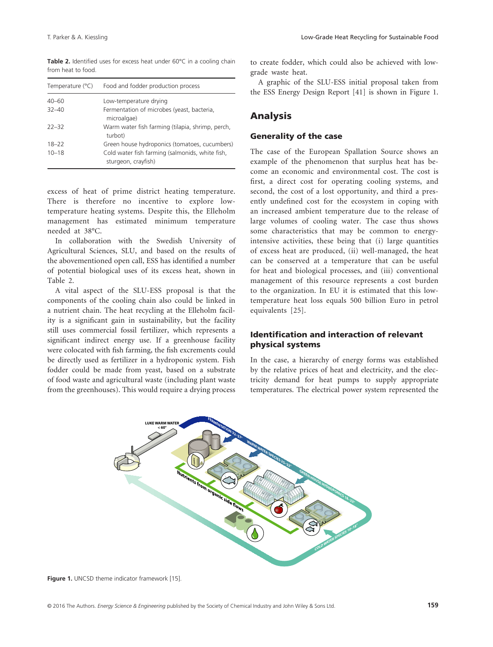| Temperature (°C) | Food and fodder production process                                     |
|------------------|------------------------------------------------------------------------|
| $40 - 60$        | Low-temperature drying                                                 |
| $32 - 40$        | Fermentation of microbes (yeast, bacteria,<br>microalgae)              |
| $22 - 32$        | Warm water fish farming (tilapia, shrimp, perch,<br>turbot)            |
| $18 - 22$        | Green house hydroponics (tomatoes, cucumbers)                          |
| $10 - 18$        | Cold water fish farming (salmonids, white fish,<br>sturgeon, crayfish) |

**Table 2.** Identified uses for excess heat under 60°C in a cooling chain from heat to food.

excess of heat of prime district heating temperature. There is therefore no incentive to explore lowtemperature heating systems. Despite this, the Elleholm management has estimated minimum temperature needed at 38°C.

In collaboration with the Swedish University of Agricultural Sciences, SLU, and based on the results of the abovementioned open call, ESS has identified a number of potential biological uses of its excess heat, shown in Table 2.

A vital aspect of the SLU-ESS proposal is that the components of the cooling chain also could be linked in a nutrient chain. The heat recycling at the Elleholm facility is a significant gain in sustainability, but the facility still uses commercial fossil fertilizer, which represents a significant indirect energy use. If a greenhouse facility were colocated with fish farming, the fish excrements could be directly used as fertilizer in a hydroponic system. Fish fodder could be made from yeast, based on a substrate of food waste and agricultural waste (including plant waste from the greenhouses). This would require a drying process to create fodder, which could also be achieved with lowgrade waste heat.

A graphic of the SLU-ESS initial proposal taken from the ESS Energy Design Report [41] is shown in Figure 1.

# Analysis

### Generality of the case

The case of the European Spallation Source shows an example of the phenomenon that surplus heat has become an economic and environmental cost. The cost is first, a direct cost for operating cooling systems, and second, the cost of a lost opportunity, and third a presently undefined cost for the ecosystem in coping with an increased ambient temperature due to the release of large volumes of cooling water. The case thus shows some characteristics that may be common to energyintensive activities, these being that (i) large quantities of excess heat are produced, (ii) well-managed, the heat can be conserved at a temperature that can be useful for heat and biological processes, and (iii) conventional management of this resource represents a cost burden to the organization. In EU it is estimated that this lowtemperature heat loss equals 500 billion Euro in petrol equivalents [25].

### Identification and interaction of relevant physical systems

In the case, a hierarchy of energy forms was established by the relative prices of heat and electricity, and the electricity demand for heat pumps to supply appropriate temperatures. The electrical power system represented the



**Figure 1.** UNCSD theme indicator framework [15].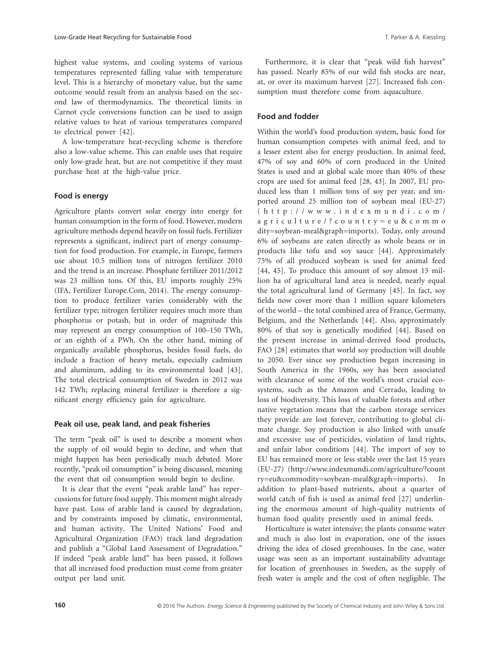highest value systems, and cooling systems of various temperatures represented falling value with temperature level. This is a hierarchy of monetary value, but the same outcome would result from an analysis based on the second law of thermodynamics. The theoretical limits in Carnot cycle conversions function can be used to assign relative values to heat of various temperatures compared to electrical power [42].

A low-temperature heat-recycling scheme is therefore also a low-value scheme. This can enable uses that require only low-grade heat, but are not competitive if they must purchase heat at the high-value price.

#### **Food is energy**

Agriculture plants convert solar energy into energy for human consumption in the form of food. However, modern agriculture methods depend heavily on fossil fuels. Fertilizer represents a significant, indirect part of energy consumption for food production. For example, in Europe, farmers use about 10.5 million tons of nitrogen fertilizer 2010 and the trend is an increase. Phosphate fertilizer 2011/2012 was 23 million tons. Of this, EU imports roughly 25% (IFA, Fertilizer Europe.Com, 2014). The energy consumption to produce fertilizer varies considerably with the fertilizer type; nitrogen fertilizer requires much more than phosphorus or potash, but in order of magnitude this may represent an energy consumption of 100–150 TWh, or an eighth of a PWh. On the other hand, mining of organically available phosphorus, besides fossil fuels, do include a fraction of heavy metals, especially cadmium and aluminum, adding to its environmental load [43]. The total electrical consumption of Sweden in 2012 was 142 TWh; replacing mineral fertilizer is therefore a significant energy efficiency gain for agriculture.

#### **Peak oil use, peak land, and peak fisheries**

The term "peak oil" is used to describe a moment when the supply of oil would begin to decline, and when that might happen has been periodically much debated. More recently, "peak oil consumption" is being discussed, meaning the event that oil consumption would begin to decline.

It is clear that the event "peak arable land" has repercussions for future food supply. This moment might already have past. Loss of arable land is caused by degradation, and by constraints imposed by climatic, environmental, and human activity. The United Nations' Food and Agricultural Organization (FAO) track land degradation and publish a "Global Land Assessment of Degradation." If indeed "peak arable land" has been passed, it follows that all increased food production must come from greater output per land unit.

Furthermore, it is clear that "peak wild fish harvest" has passed. Nearly 85% of our wild fish stocks are near, at, or over its maximum harvest [27]. Increased fish consumption must therefore come from aquaculture.

### **Food and fodder**

Within the world's food production system, basic food for human consumption competes with animal feed, and to a lesser extent also for energy production. In animal feed, 47% of soy and 60% of corn produced in the United States is used and at global scale more than 40% of these crops are used for animal feed [28, 43]. In 2007, EU produced less than 1 million tons of soy per year, and imported around 25 million ton of soybean meal (EU-27) ([http://www.indexmundi.com/](http://www.indexmundi.com/agriculture/?country=eu%26commodity=soybean-meal%26graph=imports) [agriculture/?country=eu&commo](http://www.indexmundi.com/agriculture/?country=eu%26commodity=soybean-meal%26graph=imports) [dity=soybean-meal&graph=imports\)](http://www.indexmundi.com/agriculture/?country=eu%26commodity=soybean-meal%26graph=imports). Today, only around 6% of soybeans are eaten directly as whole beans or in products like tofu and soy sauce [44]. Approximately 75% of all produced soybean is used for animal feed [44, 45]. To produce this amount of soy almost 15 million ha of agricultural land area is needed, nearly equal the total agricultural land of Germany [45]. In fact, soy fields now cover more than 1 million square kilometers of the world – the total combined area of France, Germany, Belgium, and the Netherlands [44]. Also, approximately 80% of that soy is genetically modified [44]. Based on the present increase in animal-derived food products, FAO [28] estimates that world soy production will double to 2050. Ever since soy production began increasing in South America in the 1960s, soy has been associated with clearance of some of the world's most crucial ecosystems, such as the Amazon and Cerrado, leading to loss of biodiversity. This loss of valuable forests and other native vegetation means that the carbon storage services they provide are lost forever, contributing to global climate change. Soy production is also linked with unsafe and excessive use of pesticides, violation of land rights, and unfair labor conditions [44]. The import of soy to EU has remained more or less stable over the last 15 years (EU-27) [\(http://www.indexmundi.com/agriculture/?count](http://www.indexmundi.com/agriculture/?country=eu%26commodity=soybean-meal%26graph=imports) [ry=eu&commodity=soybean-meal&graph=imports\)](http://www.indexmundi.com/agriculture/?country=eu%26commodity=soybean-meal%26graph=imports). In addition to plant-based nutrients, about a quarter of world catch of fish is used as animal feed [27] underlining the enormous amount of high-quality nutrients of human food quality presently used in animal feeds.

Horticulture is water intensive; the plants consume water and much is also lost in evaporation, one of the issues driving the idea of closed greenhouses. In the case, water usage was seen as an important sustainability advantage for location of greenhouses in Sweden, as the supply of fresh water is ample and the cost of often negligible. The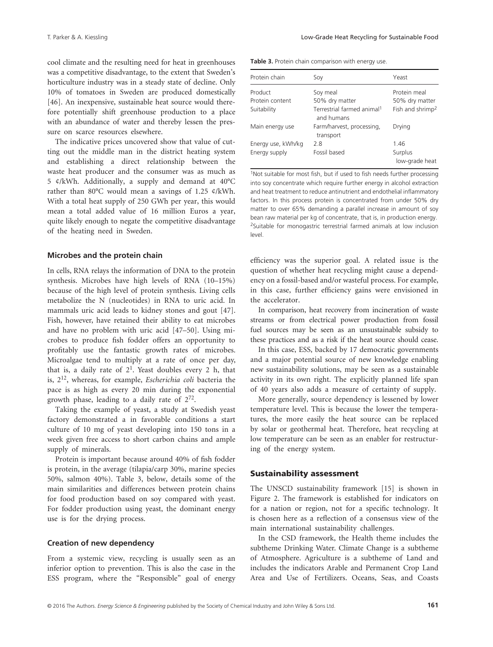cool climate and the resulting need for heat in greenhouses was a competitive disadvantage, to the extent that Sweden's horticulture industry was in a steady state of decline. Only 10% of tomatoes in Sweden are produced domestically [46]. An inexpensive, sustainable heat source would therefore potentially shift greenhouse production to a place with an abundance of water and thereby lessen the pressure on scarce resources elsewhere.

The indicative prices uncovered show that value of cutting out the middle man in the district heating system and establishing a direct relationship between the waste heat producer and the consumer was as much as 5 ¢/kWh. Additionally, a supply and demand at 40°C rather than 80°C would mean a savings of 1.25 ¢/kWh. With a total heat supply of 250 GWh per year, this would mean a total added value of 16 million Euros a year, quite likely enough to negate the competitive disadvantage of the heating need in Sweden.

#### **Microbes and the protein chain**

In cells, RNA relays the information of DNA to the protein synthesis. Microbes have high levels of RNA (10–15%) because of the high level of protein synthesis. Living cells metabolize the N (nucleotides) in RNA to uric acid. In mammals uric acid leads to kidney stones and gout [47]. Fish, however, have retained their ability to eat microbes and have no problem with uric acid [47–50]. Using microbes to produce fish fodder offers an opportunity to profitably use the fantastic growth rates of microbes. Microalgae tend to multiply at a rate of once per day, that is, a daily rate of  $2^1$ . Yeast doubles every 2 h, that is, 212, whereas, for example, *Escherichia coli* bacteria the pace is as high as every 20 min during the exponential growth phase, leading to a daily rate of 272.

Taking the example of yeast, a study at Swedish yeast factory demonstrated a in favorable conditions a start culture of 10 mg of yeast developing into 150 tons in a week given free access to short carbon chains and ample supply of minerals.

Protein is important because around 40% of fish fodder is protein, in the average (tilapia/carp 30%, marine species 50%, salmon 40%). Table 3, below, details some of the main similarities and differences between protein chains for food production based on soy compared with yeast. For fodder production using yeast, the dominant energy use is for the drying process.

#### **Creation of new dependency**

From a systemic view, recycling is usually seen as an inferior option to prevention. This is also the case in the ESS program, where the "Responsible" goal of energy

**Table 3.** Protein chain comparison with energy use.

| Protein chain      | Sov                                                  | Yeast                        |
|--------------------|------------------------------------------------------|------------------------------|
| Product            | Soy meal                                             | Protein meal                 |
| Protein content    | 50% dry matter                                       | 50% dry matter               |
| Suitability        | Terrestrial farmed animal <sup>1</sup><br>and humans | Fish and shrimp <sup>2</sup> |
| Main energy use    | Farm/harvest, processing,<br>transport               | Drying                       |
| Energy use, kWh/kg | 28                                                   | 1.46                         |
| Energy supply      | Fossil based                                         | Surplus<br>low-grade heat    |

<sup>1</sup>Not suitable for most fish, but if used to fish needs further processing into soy concentrate which require further energy in alcohol extraction and heat treatment to reduce antinutrient and endothelial inflammatory factors. In this process protein is concentrated from under 50% dry matter to over 65% demanding a parallel increase in amount of soy bean raw material per kg of concentrate, that is, in production energy. <sup>2</sup>Suitable for monogastric terrestrial farmed animals at low inclusion level.

efficiency was the superior goal. A related issue is the question of whether heat recycling might cause a dependency on a fossil-based and/or wasteful process. For example, in this case, further efficiency gains were envisioned in the accelerator.

In comparison, heat recovery from incineration of waste streams or from electrical power production from fossil fuel sources may be seen as an unsustainable subsidy to these practices and as a risk if the heat source should cease.

In this case, ESS, backed by 17 democratic governments and a major potential source of new knowledge enabling new sustainability solutions, may be seen as a sustainable activity in its own right. The explicitly planned life span of 40 years also adds a measure of certainty of supply.

More generally, source dependency is lessened by lower temperature level. This is because the lower the temperatures, the more easily the heat source can be replaced by solar or geothermal heat. Therefore, heat recycling at low temperature can be seen as an enabler for restructuring of the energy system.

#### Sustainability assessment

The UNSCD sustainability framework [15] is shown in Figure 2. The framework is established for indicators on for a nation or region, not for a specific technology. It is chosen here as a reflection of a consensus view of the main international sustainability challenges.

In the CSD framework, the Health theme includes the subtheme Drinking Water. Climate Change is a subtheme of Atmosphere. Agriculture is a subtheme of Land and includes the indicators Arable and Permanent Crop Land Area and Use of Fertilizers. Oceans, Seas, and Coasts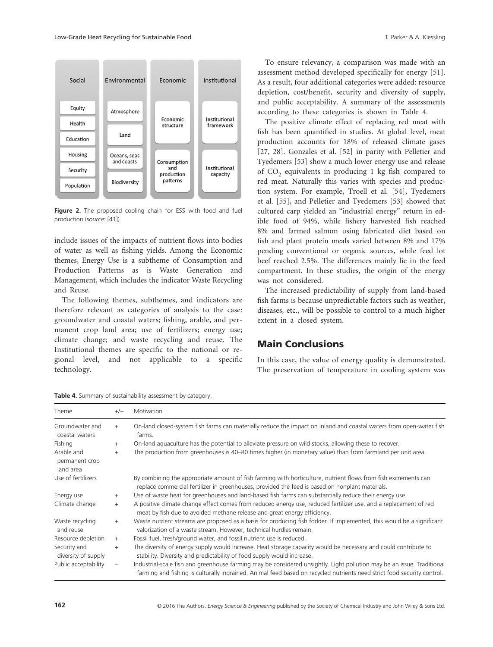

**Figure 2.** The proposed cooling chain for ESS with food and fuel production (*source*: [41]).

include issues of the impacts of nutrient flows into bodies of water as well as fishing yields. Among the Economic themes, Energy Use is a subtheme of Consumption and Production Patterns as is Waste Generation and Management, which includes the indicator Waste Recycling and Reuse.

The following themes, subthemes, and indicators are therefore relevant as categories of analysis to the case: groundwater and coastal waters; fishing, arable, and permanent crop land area; use of fertilizers; energy use; climate change; and waste recycling and reuse. The Institutional themes are specific to the national or regional level, and not applicable to a specific technology.

To ensure relevancy, a comparison was made with an assessment method developed specifically for energy [51]. As a result, four additional categories were added: resource depletion, cost/benefit, security and diversity of supply, and public acceptability. A summary of the assessments according to these categories is shown in Table 4.

The positive climate effect of replacing red meat with fish has been quantified in studies. At global level, meat production accounts for 18% of released climate gases [27, 28]. Gonzales et al. [52] in parity with Pelletier and Tyedemers [53] show a much lower energy use and release of CO<sub>2</sub> equivalents in producing 1 kg fish compared to red meat. Naturally this varies with species and production system. For example, Troell et al. [54], Tyedemers et al. [55], and Pelletier and Tyedemers [53] showed that cultured carp yielded an "industrial energy" return in edible food of 94%, while fishery harvested fish reached 8% and farmed salmon using fabricated diet based on fish and plant protein meals varied between 8% and 17% pending conventional or organic sources, while feed lot beef reached 2.5%. The differences mainly lie in the feed compartment. In these studies, the origin of the energy was not considered.

The increased predictability of supply from land-based fish farms is because unpredictable factors such as weather, diseases, etc., will be possible to control to a much higher extent in a closed system.

# Main Conclusions

In this case, the value of energy quality is demonstrated. The preservation of temperature in cooling system was

|  |  | <b>Table 4.</b> Summary of sustainability assessment by category. |  |  |
|--|--|-------------------------------------------------------------------|--|--|
|--|--|-------------------------------------------------------------------|--|--|

| Theme                                     | $+/-$                    | Motivation                                                                                                                                                                                                                                        |
|-------------------------------------------|--------------------------|---------------------------------------------------------------------------------------------------------------------------------------------------------------------------------------------------------------------------------------------------|
| Groundwater and<br>coastal waters         | $+$                      | On-land closed-system fish farms can materially reduce the impact on inland and coastal waters from open-water fish<br>farms.                                                                                                                     |
| Fishing                                   | $+$                      | On-land aquaculture has the potential to alleviate pressure on wild stocks, allowing these to recover.                                                                                                                                            |
| Arable and<br>permanent crop<br>land area | $+$                      | The production from greenhouses is 40–80 times higher (in monetary value) than from farmland per unit area.                                                                                                                                       |
| Use of fertilizers                        |                          | By combining the appropriate amount of fish farming with horticulture, nutrient flows from fish excrements can<br>replace commercial fertilizer in greenhouses, provided the feed is based on nonplant materials.                                 |
| Energy use                                | $+$                      | Use of waste heat for greenhouses and land-based fish farms can substantially reduce their energy use.                                                                                                                                            |
| Climate change                            | $+$                      | A positive climate change effect comes from reduced energy use, reduced fertilizer use, and a replacement of red<br>meat by fish due to avoided methane release and great energy efficiency.                                                      |
| Waste recycling<br>and reuse              | $+$                      | Waste nutrient streams are proposed as a basis for producing fish fodder. If implemented, this would be a significant<br>valorization of a waste stream. However, technical hurdles remain.                                                       |
| Resource depletion                        | $+$                      | Fossil fuel, fresh/ground water, and fossil nutrient use is reduced.                                                                                                                                                                              |
| Security and<br>diversity of supply       | $+$                      | The diversity of energy supply would increase. Heat storage capacity would be necessary and could contribute to<br>stability. Diversity and predictability of food supply would increase.                                                         |
| Public acceptability                      | $\overline{\phantom{0}}$ | Industrial-scale fish and greenhouse farming may be considered unsightly. Light pollution may be an issue. Traditional<br>farming and fishing is culturally ingrained. Animal feed based on recycled nutrients need strict food security control. |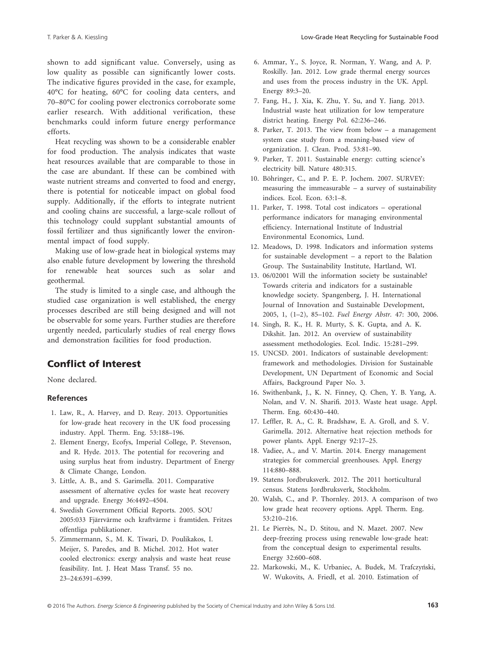shown to add significant value. Conversely, using as low quality as possible can significantly lower costs. The indicative figures provided in the case, for example, 40°C for heating, 60°C for cooling data centers, and 70–80°C for cooling power electronics corroborate some earlier research. With additional verification, these benchmarks could inform future energy performance efforts.

Heat recycling was shown to be a considerable enabler for food production. The analysis indicates that waste heat resources available that are comparable to those in the case are abundant. If these can be combined with waste nutrient streams and converted to food and energy, there is potential for noticeable impact on global food supply. Additionally, if the efforts to integrate nutrient and cooling chains are successful, a large-scale rollout of this technology could supplant substantial amounts of fossil fertilizer and thus significantly lower the environmental impact of food supply.

Making use of low-grade heat in biological systems may also enable future development by lowering the threshold for renewable heat sources such as solar and geothermal.

The study is limited to a single case, and although the studied case organization is well established, the energy processes described are still being designed and will not be observable for some years. Further studies are therefore urgently needed, particularly studies of real energy flows and demonstration facilities for food production.

# Conflict of Interest

None declared.

#### **References**

- 1. Law, R., A. Harvey, and D. Reay. 2013. Opportunities for low-grade heat recovery in the UK food processing industry. Appl. Therm. Eng. 53:188–196.
- 2. Element Energy, Ecofys, Imperial College, P. Stevenson, and R. Hyde. 2013. The potential for recovering and using surplus heat from industry. Department of Energy & Climate Change, London.
- 3. Little, A. B., and S. Garimella. 2011. Comparative assessment of alternative cycles for waste heat recovery and upgrade. Energy 36:4492–4504.
- 4. Swedish Government Official Reports. 2005. SOU 2005:033 Fjärrvärme och kraftvärme i framtiden. Fritzes offentliga publikationer.
- 5. Zimmermann, S., M. K. Tiwari, D. Poulikakos, I. Meijer, S. Paredes, and B. Michel. 2012. Hot water cooled electronics: exergy analysis and waste heat reuse feasibility. Int. J. Heat Mass Transf. 55 no. 23–24:6391–6399.
- 6. Ammar, Y., S. Joyce, R. Norman, Y. Wang, and A. P. Roskilly. Jan. 2012. Low grade thermal energy sources and uses from the process industry in the UK. Appl. Energy 89:3–20.
- 7. Fang, H., J. Xia, K. Zhu, Y. Su, and Y. Jiang. 2013. Industrial waste heat utilization for low temperature district heating. Energy Pol. 62:236–246.
- 8. Parker, T. 2013. The view from below a management system case study from a meaning-based view of organization. J. Clean. Prod. 53:81–90.
- 9. Parker, T. 2011. Sustainable energy: cutting science's electricity bill. Nature 480:315.
- 10. Böhringer, C., and P. E. P. Jochem. 2007. SURVEY: measuring the immeasurable – a survey of sustainability indices. Ecol. Econ. 63:1–8.
- 11. Parker, T. 1998. Total cost indicators operational performance indicators for managing environmental efficiency. International Institute of Industrial Environmental Economics, Lund.
- 12. Meadows, D. 1998. Indicators and information systems for sustainable development – a report to the Balation Group. The Sustainability Institute, Hartland, WI.
- 13. 06/02001 Will the information society be sustainable? Towards criteria and indicators for a sustainable knowledge society. Spangenberg, J. H. International Journal of Innovation and Sustainable Development, 2005, 1, (1–2), 85–102. *Fuel Energy Abstr.* 47: 300, 2006.
- 14. Singh, R. K., H. R. Murty, S. K. Gupta, and A. K. Dikshit. Jan. 2012. An overview of sustainability assessment methodologies. Ecol. Indic. 15:281–299.
- 15. UNCSD. 2001. Indicators of sustainable development: framework and methodologies. Division for Sustainable Development, UN Department of Economic and Social Affairs, Background Paper No. 3.
- 16. Swithenbank, J., K. N. Finney, Q. Chen, Y. B. Yang, A. Nolan, and V. N. Sharifi. 2013. Waste heat usage. Appl. Therm. Eng. 60:430–440.
- 17. Leffler, R. A., C. R. Bradshaw, E. A. Groll, and S. V. Garimella. 2012. Alternative heat rejection methods for power plants. Appl. Energy 92:17–25.
- 18. Vadiee, A., and V. Martin. 2014. Energy management strategies for commercial greenhouses. Appl. Energy 114:880–888.
- 19. Statens Jordbruksverk. 2012. The 2011 horticultural census. Statens Jordbruksverk, Stockholm.
- 20. Walsh, C., and P. Thornley. 2013. A comparison of two low grade heat recovery options. Appl. Therm. Eng. 53:210–216.
- 21. Le Pierrès, N., D. Stitou, and N. Mazet. 2007. New deep-freezing process using renewable low-grade heat: from the conceptual design to experimental results. Energy 32:600–608.
- 22. Markowski, M., K. Urbaniec, A. Budek, M. Trafczyński, W. Wukovits, A. Friedl, et al. 2010. Estimation of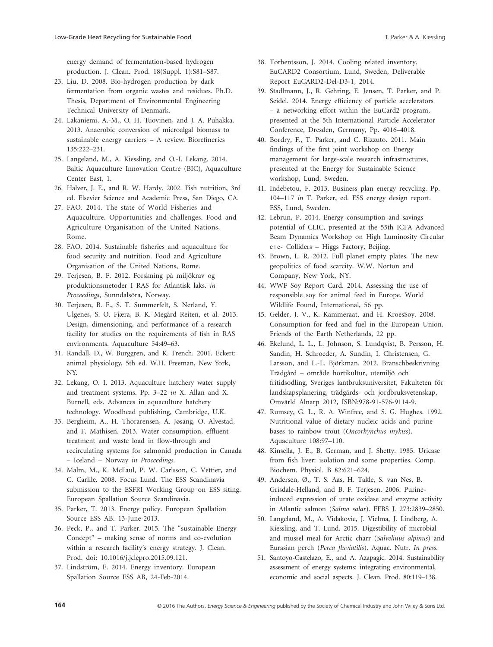energy demand of fermentation-based hydrogen production. J. Clean. Prod. 18(Suppl. 1):S81–S87.

- 23. Liu, D. 2008. Bio-hydrogen production by dark fermentation from organic wastes and residues. Ph.D. Thesis, Department of Environmental Engineering Technical University of Denmark.
- 24. Lakaniemi, A.-M., O. H. Tuovinen, and J. A. Puhakka. 2013. Anaerobic conversion of microalgal biomass to sustainable energy carriers – A review. Biorefineries 135:222–231.
- 25. Langeland, M., A. Kiessling, and O.-I. Lekang. 2014. Baltic Aquaculture Innovation Centre (BIC), Aquaculture Center East, 1.
- 26. Halver, J. E., and R. W. Hardy. 2002. Fish nutrition, 3rd ed. Elsevier Science and Academic Press, San Diego, CA.
- 27. FAO. 2014. The state of World Fisheries and Aquaculture. Opportunities and challenges. Food and Agriculture Organisation of the United Nations, Rome.
- 28. FAO. 2014. Sustainable fisheries and aquaculture for food security and nutrition. Food and Agriculture Organisation of the United Nations, Rome.
- 29. Terjesen, B. F. 2012. Forskning på miljökrav og produktionsmetoder I RAS for Atlantisk laks. *in Proceedings*, Sunndalsöra, Norway.
- 30. Terjesen, B. F., S. T. Summerfelt, S. Nerland, Y. Ulgenes, S. O. Fjæra, B. K. Megård Reiten, et al. 2013. Design, dimensioning, and performance of a research facility for studies on the requirements of fish in RAS environments. Aquaculture 54:49–63.
- 31. Randall, D., W. Burggren, and K. French. 2001. Eckert: animal physiology, 5th ed. W.H. Freeman, New York, NY.
- 32. Lekang, O. I. 2013. Aquaculture hatchery water supply and treatment systems. Pp. 3–22 *in* X. Allan and X. Burnell, eds. Advances in aquaculture hatchery technology. Woodhead publishing, Cambridge, U.K.
- 33. Bergheim, A., H. Thorarensen, A. Jøsang, O. Alvestad, and F. Mathisen. 2013. Water consumption, effluent treatment and waste load in flow-through and recirculating systems for salmonid production in Canada – Iceland – Norway *in Proceedings*.
- 34. Malm, M., K. McFaul, P. W. Carlsson, C. Vettier, and C. Carlile. 2008. Focus Lund. The ESS Scandinavia submission to the ESFRI Working Group on ESS siting. European Spallation Source Scandinavia.
- 35. Parker, T. 2013. Energy policy. European Spallation Source ESS AB. 13-June-2013.
- 36. Peck, P., and T. Parker. 2015. The "sustainable Energy Concept" – making sense of norms and co-evolution within a research facility's energy strategy. J. Clean. Prod. doi: 10.1016/j.jclepro.2015.09.121.
- 37. Lindström, E. 2014. Energy inventory. European Spallation Source ESS AB, 24-Feb-2014.
- 38. Torbentsson, J. 2014. Cooling related inventory. EuCARD2 Consortium, Lund, Sweden, Deliverable Report EuCARD2-Del-D3-1, 2014.
- 39. Stadlmann, J., R. Gehring, E. Jensen, T. Parker, and P. Seidel. 2014. Energy efficiency of particle accelerators – a networking effort within the EuCard2 program, presented at the 5th International Particle Accelerator Conference, Dresden, Germany, Pp. 4016–4018.
- 40. Bordry, F., T. Parker, and C. Rizzuto. 2011. Main findings of the first joint workshop on Energy management for large-scale research infrastructures, presented at the Energy for Sustainable Science workshop, Lund, Sweden.
- 41. Indebetou, F. 2013. Business plan energy recycling. Pp. 104–117 *in* T. Parker, ed. ESS energy design report. ESS, Lund, Sweden.
- 42. Lebrun, P. 2014. Energy consumption and savings potential of CLIC, presented at the 55th ICFA Advanced Beam Dynamics Workshop on High Luminosity Circular e+e- Colliders – Higgs Factory, Beijing.
- 43. Brown, L. R. 2012. Full planet empty plates. The new geopolitics of food scarcity. W.W. Norton and Company, New York, NY.
- 44. WWF Soy Report Card. 2014. Assessing the use of responsible soy for animal feed in Europe. World Wildlife Found, International, 56 pp.
- 45. Gelder, J. V., K. Kammeraat, and H. KroesSoy. 2008. Consumption for feed and fuel in the European Union. Friends of the Earth Netherlands, 22 pp.
- 46. Ekelund, L. L., L. Johnson, S. Lundqvist, B. Persson, H. Sandin, H. Schroeder, A. Sundin, I. Christensen, G. Larsson, and L.-L. Björkman. 2012. Branschbeskrivning Trädgård – område hortikultur, utemiljö och fritidsodling, Sveriges lantbruksuniversitet, Fakulteten för landskapsplanering, trädgårds- och jordbruksvetenskap, Omvärld Alnarp 2012, ISBN:978-91-576-9114-9.
- 47. Rumsey, G. L., R. A. Winfree, and S. G. Hughes. 1992. Nutritional value of dietary nucleic acids and purine bases to rainbow trout (*Oncorhynchus mykiss*). Aquaculture 108:97–110.
- 48. Kinsella, J. E., B. German, and J. Shetty. 1985. Uricase from fish liver: isolation and some properties. Comp. Biochem. Physiol. B 82:621–624.
- 49. Andersen, Ø., T. S. Aas, H. Takle, S. van Nes, B. Grisdale-Helland, and B. F. Terjesen. 2006. Purineinduced expression of urate oxidase and enzyme activity in Atlantic salmon (*Salmo salar*). FEBS J. 273:2839–2850.
- 50. Langeland, M., A. Vidakovic, J. Vielma, J. Lindberg, A. Kiessling, and T. Lund. 2015. Digestibility of microbial and mussel meal for Arctic charr (*Salvelinus alpinus*) and Eurasian perch (*Perca fluviatilis*). Aquac. Nutr. *In press*.
- 51. Santoyo-Castelazo, E., and A. Azapagic. 2014. Sustainability assessment of energy systems: integrating environmental, economic and social aspects. J. Clean. Prod. 80:119–138.